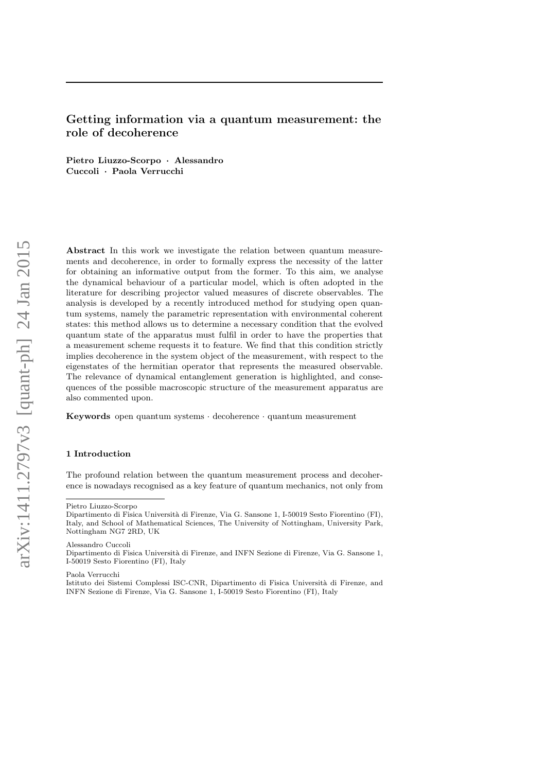# Getting information via a quantum measurement: the role of decoherence

Pietro Liuzzo-Scorpo · Alessandro Cuccoli · Paola Verrucchi

Abstract In this work we investigate the relation between quantum measurements and decoherence, in order to formally express the necessity of the latter for obtaining an informative output from the former. To this aim, we analyse the dynamical behaviour of a particular model, which is often adopted in the literature for describing projector valued measures of discrete observables. The analysis is developed by a recently introduced method for studying open quantum systems, namely the parametric representation with environmental coherent states: this method allows us to determine a necessary condition that the evolved quantum state of the apparatus must fulfil in order to have the properties that a measurement scheme requests it to feature. We find that this condition strictly implies decoherence in the system object of the measurement, with respect to the eigenstates of the hermitian operator that represents the measured observable. The relevance of dynamical entanglement generation is highlighted, and consequences of the possible macroscopic structure of the measurement apparatus are also commented upon.

Keywords open quantum systems · decoherence · quantum measurement

# 1 Introduction

The profound relation between the quantum measurement process and decoherence is nowadays recognised as a key feature of quantum mechanics, not only from

Pietro Liuzzo-Scorpo

Paola Verrucchi

Dipartimento di Fisica Università di Firenze, Via G. Sansone 1, I-50019 Sesto Fiorentino (FI), Italy, and School of Mathematical Sciences, The University of Nottingham, University Park, Nottingham NG7 2RD, UK

Alessandro Cuccoli

Dipartimento di Fisica Università di Firenze, and INFN Sezione di Firenze, Via G. Sansone 1, I-50019 Sesto Fiorentino (FI), Italy

Istituto dei Sistemi Complessi ISC-CNR, Dipartimento di Fisica Universit`a di Firenze, and INFN Sezione di Firenze, Via G. Sansone 1, I-50019 Sesto Fiorentino (FI), Italy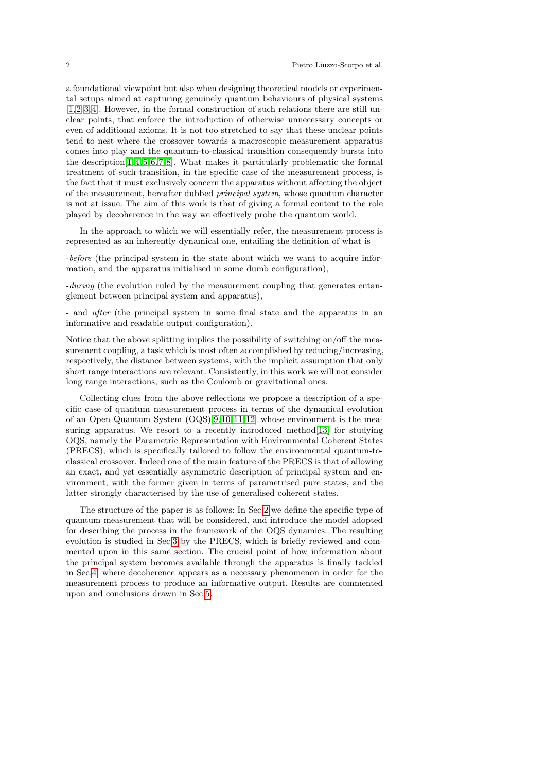a foundational viewpoint but also when designing theoretical models or experimental setups aimed at capturing genuinely quantum behaviours of physical systems  $[1, 2, 3, 4]$  $[1, 2, 3, 4]$  $[1, 2, 3, 4]$  $[1, 2, 3, 4]$  $[1, 2, 3, 4]$ . However, in the formal construction of such relations there are still unclear points, that enforce the introduction of otherwise unnecessary concepts or even of additional axioms. It is not too stretched to say that these unclear points tend to nest where the crossover towards a macroscopic measurement apparatus comes into play and the quantum-to-classical transition consequently bursts into the description  $[1, 4, 5, 6, 7, 8]$  $[1, 4, 5, 6, 7, 8]$  $[1, 4, 5, 6, 7, 8]$  $[1, 4, 5, 6, 7, 8]$  $[1, 4, 5, 6, 7, 8]$  $[1, 4, 5, 6, 7, 8]$  $[1, 4, 5, 6, 7, 8]$  $[1, 4, 5, 6, 7, 8]$ . What makes it particularly problematic the formal treatment of such transition, in the specific case of the measurement process, is the fact that it must exclusively concern the apparatus without affecting the object of the measurement, hereafter dubbed principal system, whose quantum character is not at issue. The aim of this work is that of giving a formal content to the role played by decoherence in the way we effectively probe the quantum world.

In the approach to which we will essentially refer, the measurement process is represented as an inherently dynamical one, entailing the definition of what is

-before (the principal system in the state about which we want to acquire information, and the apparatus initialised in some dumb configuration),

-during (the evolution ruled by the measurement coupling that generates entanglement between principal system and apparatus),

- and after (the principal system in some final state and the apparatus in an informative and readable output configuration).

Notice that the above splitting implies the possibility of switching on/off the measurement coupling, a task which is most often accomplished by reducing/increasing, respectively, the distance between systems, with the implicit assumption that only short range interactions are relevant. Consistently, in this work we will not consider long range interactions, such as the Coulomb or gravitational ones.

Collecting clues from the above reflections we propose a description of a specific case of quantum measurement process in terms of the dynamical evolution of an Open Quantum System (OQS)[\[9,](#page-10-8) [10,](#page-10-9) [11,](#page-10-10) [12\]](#page-10-11) whose environment is the mea-suring apparatus. We resort to a recently introduced method [\[13\]](#page-10-12) for studying OQS, namely the Parametric Representation with Environmental Coherent States (PRECS), which is specifically tailored to follow the environmental quantum-toclassical crossover. Indeed one of the main feature of the PRECS is that of allowing an exact, and yet essentially asymmetric description of principal system and environment, with the former given in terms of parametrised pure states, and the latter strongly characterised by the use of generalised coherent states.

The structure of the paper is as follows: In Sec[.2](#page-2-0) we define the specific type of quantum measurement that will be considered, and introduce the model adopted for describing the process in the framework of the OQS dynamics. The resulting evolution is studied in Sec[.3](#page-4-0) by the PRECS, which is briefly reviewed and commented upon in this same section. The crucial point of how information about the principal system becomes available through the apparatus is finally tackled in Sec[.4,](#page-6-0) where decoherence appears as a necessary phenomenon in order for the measurement process to produce an informative output. Results are commented upon and conclusions drawn in Sec[.5.](#page-8-0)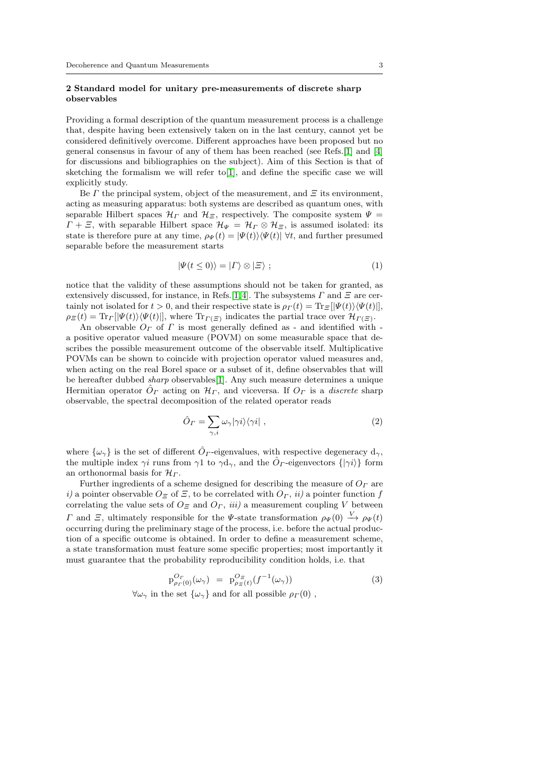# <span id="page-2-0"></span>2 Standard model for unitary pre-measurements of discrete sharp observables

Providing a formal description of the quantum measurement process is a challenge that, despite having been extensively taken on in the last century, cannot yet be considered definitively overcome. Different approaches have been proposed but no general consensus in favour of any of them has been reached (see Refs.[\[1\]](#page-10-0) and [\[4\]](#page-10-3) for discussions and bibliographies on the subject). Aim of this Section is that of sketching the formalism we will refer to[\[1\]](#page-10-0), and define the specific case we will explicitly study.

Be  $\Gamma$  the principal system, object of the measurement, and  $\Xi$  its environment, acting as measuring apparatus: both systems are described as quantum ones, with separable Hilbert spaces  $\mathcal{H}_{\Gamma}$  and  $\mathcal{H}_{\Xi}$ , respectively. The composite system  $\Psi$  =  $\Gamma + \Xi$ , with separable Hilbert space  $\mathcal{H}_{\Psi} = \mathcal{H}_{\Gamma} \otimes \mathcal{H}_{\Xi}$ , is assumed isolated: its state is therefore pure at any time,  $\rho_{\Psi}(t) = |\Psi(t)\rangle \langle \Psi(t)| \; \forall t$ , and further presumed separable before the measurement starts

<span id="page-2-2"></span>
$$
|\Psi(t \le 0)\rangle = |\Gamma\rangle \otimes |\Xi\rangle ; \qquad (1)
$$

notice that the validity of these assumptions should not be taken for granted, as extensively discussed, for instance, in Refs.[\[1,](#page-10-0)4]. The subsystems  $\Gamma$  and  $\Xi$  are certainly not isolated for  $t > 0$ , and their respective state is  $\rho_{\Gamma}(t) = \text{Tr}_{\Xi} [|\Psi(t)\rangle \langle \Psi(t)|],$  $\rho_{\Xi}(t) = \text{Tr}_{\Gamma}[\Psi(t) \rangle \langle \Psi(t)|]$ , where  $\text{Tr}_{\Gamma(\Xi)}$  indicates the partial trace over  $\mathcal{H}_{\Gamma(\Xi)}$ .

An observable  $O<sub>\Gamma</sub>$  of  $\Gamma$  is most generally defined as - and identified with a positive operator valued measure (POVM) on some measurable space that describes the possible measurement outcome of the observable itself. Multiplicative POVMs can be shown to coincide with projection operator valued measures and, when acting on the real Borel space or a subset of it, define observables that will be hereafter dubbed sharp observables[\[1\]](#page-10-0). Any such measure determines a unique Hermitian operator  $\hat{O}_\Gamma$  acting on  $\mathcal{H}_\Gamma$ , and viceversa. If  $O_\Gamma$  is a *discrete* sharp observable, the spectral decomposition of the related operator reads

$$
\hat{O}_{\Gamma} = \sum_{\gamma,i} \omega_{\gamma} |\gamma i\rangle \langle \gamma i| \;, \tag{2}
$$

where  $\{\omega_{\gamma}\}\$ is the set of different  $O_{\Gamma}$ -eigenvalues, with respective degeneracy  $d_{\gamma}$ , the multiple index  $\gamma i$  runs from  $\gamma 1$  to  $\gamma d_{\gamma}$ , and the  $\hat{O}_\Gamma$ -eigenvectors  $\{|\gamma i\rangle\}$  form an orthonormal basis for  $\mathcal{H}_{\Gamma}$ .

Further ingredients of a scheme designed for describing the measure of  $O<sub>l</sub>$  are i) a pointer observable  $O_{\mathcal{Z}}$  of  $\mathcal{Z}$ , to be correlated with  $O_{\varGamma}$ , ii) a pointer function f correlating the value sets of  $O_{\mathcal{Z}}$  and  $O_{\Gamma}$ , iii) a measurement coupling V between Γ and Ξ, ultimately responsible for the *Ψ*-state transformation  $\rho_{\Psi}(0) \xrightarrow{V} \rho_{\Psi}(t)$ occurring during the preliminary stage of the process, i.e. before the actual production of a specific outcome is obtained. In order to define a measurement scheme, a state transformation must feature some specific properties; most importantly it must guarantee that the probability reproducibility condition holds, i.e. that

<span id="page-2-1"></span>
$$
p_{\rho_T(0)}^{O_T}(\omega_\gamma) = p_{\rho_{\Xi}(t)}^{O_{\Xi}}(f^{-1}(\omega_\gamma))
$$
\n(3)

 $\forall \omega_{\gamma}$  in the set  $\{\omega_{\gamma}\}\$  and for all possible  $\rho_{\Gamma}(0)$ ,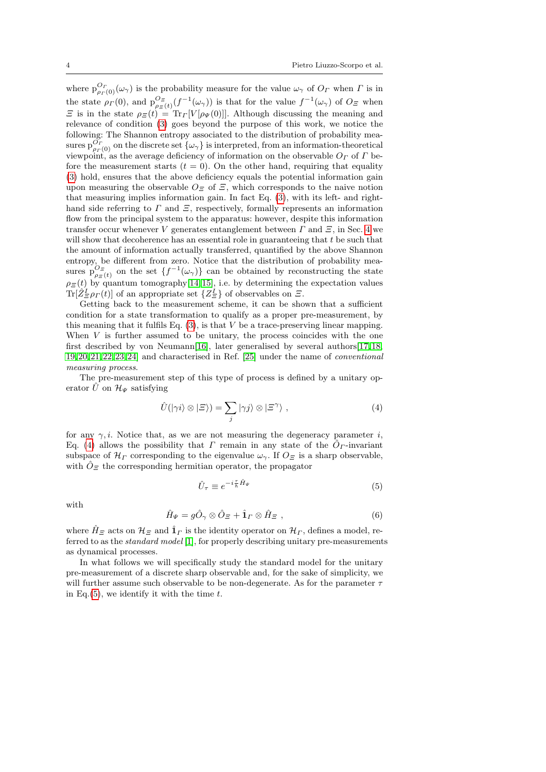where  $p_{\rho_T(0)}^{O_r}(\omega_\gamma)$  is the probability measure for the value  $\omega_\gamma$  of  $O_r$  when  $\Gamma$  is in the state  $\rho_T(0)$ , and  $p_{\rho_{\bar{S}}(t)}^{O_{\bar{S}}}(f^{-1}(\omega_\gamma))$  is that for the value  $f^{-1}(\omega_\gamma)$  of  $O_{\bar{S}}$  when  $\Xi$  is in the state  $\rho_{\Xi}(t) = \text{Tr}_{\Gamma}[V[\rho_{\Psi}(0)]]$ . Although discussing the meaning and relevance of condition [\(3\)](#page-2-1) goes beyond the purpose of this work, we notice the following: The Shannon entropy associated to the distribution of probability measures  $p_{\rho_I(0)}^{O_I}$  on the discrete set  $\{\omega_\gamma\}$  is interpreted, from an information-theoretical viewpoint, as the average deficiency of information on the observable  $O<sub>\Gamma</sub>$  of  $\Gamma$  before the measurement starts  $(t = 0)$ . On the other hand, requiring that equality [\(3\)](#page-2-1) hold, ensures that the above deficiency equals the potential information gain upon measuring the observable  $O<sub>\Xi</sub>$  of  $\Xi$ , which corresponds to the naive notion that measuring implies information gain. In fact Eq. [\(3\)](#page-2-1), with its left- and righthand side referring to  $\Gamma$  and  $\Xi$ , respectively, formally represents an information flow from the principal system to the apparatus: however, despite this information transfer occur whenever V generates entanglement between  $\Gamma$  and  $\Xi$ , in Sec. [4](#page-6-0) we will show that decoherence has an essential role in guaranteeing that  $t$  be such that the amount of information actually transferred, quantified by the above Shannon entropy, be different from zero. Notice that the distribution of probability measures  $p_{\rho_{\mathcal{Z}}(t)}^{\mathcal{O}_{\mathcal{Z}}}$  on the set  $\{f^{-1}(\omega_{\gamma})\}$  can be obtained by reconstructing the state  $\rho_{\Xi}(t)$  by quantum tomography[\[14,](#page-10-13)[15\]](#page-10-14), i.e. by determining the expectation values  $\text{Tr}[\tilde{Z}_{\varXi}^I \rho_{\varGamma}(t)]$  of an appropriate set  $\{Z_{\varXi}^I\}$  of observables on  $\varXi$ .

Getting back to the measurement scheme, it can be shown that a sufficient condition for a state transformation to qualify as a proper pre-measurement, by this meaning that it fulfils Eq.  $(3)$ , is that V be a trace-preserving linear mapping. When  $V$  is further assumed to be unitary, the process coincides with the one first described by von Neumann[\[16\]](#page-10-15), later generalised by several authors[\[17,](#page-10-16) [18,](#page-10-17) [19,](#page-10-18) [20,](#page-10-19)[21,](#page-10-20) [22,](#page-10-21) [23,](#page-10-22) [24\]](#page-10-23) and characterised in Ref. [\[25\]](#page-10-24) under the name of conventional measuring process.

The pre-measurement step of this type of process is defined by a unitary operator  $\hat{U}$  on  $\mathcal{H}_{\Psi}$  satisfying

<span id="page-3-0"></span>
$$
\hat{U}(|\gamma i\rangle \otimes |\Xi\rangle) = \sum_{j} |\gamma j\rangle \otimes |\Xi^{\gamma}\rangle , \qquad (4)
$$

for any  $\gamma, i$ . Notice that, as we are not measuring the degeneracy parameter i. Eq. [\(4\)](#page-3-0) allows the possibility that Γ remain in any state of the  $\hat{O}_\Gamma$ -invariant subspace of  $\mathcal{H}_{\Gamma}$  corresponding to the eigenvalue  $\omega_{\gamma}$ . If  $O_{\Xi}$  is a sharp observable, with  $\hat{O}_{\Xi}$  the corresponding hermitian operator, the propagator

<span id="page-3-1"></span>
$$
\hat{U}_{\tau} \equiv e^{-i\frac{\tau}{\hbar}\hat{H}_{\Psi}} \tag{5}
$$

with

<span id="page-3-2"></span>
$$
\hat{H}_{\Psi} = g\hat{O}_{\gamma} \otimes \hat{O}_{\Xi} + \hat{\mathbf{1}}_{\Gamma} \otimes \hat{H}_{\Xi} , \qquad (6)
$$

where  $\hat{H}_{\Xi}$  acts on  $\mathcal{H}_{\Xi}$  and  $\hat{\mathbf{1}}_{\Gamma}$  is the identity operator on  $\mathcal{H}_{\Gamma}$ , defines a model, referred to as the standard model [\[1\]](#page-10-0), for properly describing unitary pre-measurements as dynamical processes.

In what follows we will specifically study the standard model for the unitary pre-measurement of a discrete sharp observable and, for the sake of simplicity, we will further assume such observable to be non-degenerate. As for the parameter  $\tau$ in Eq. $(5)$ , we identify it with the time t.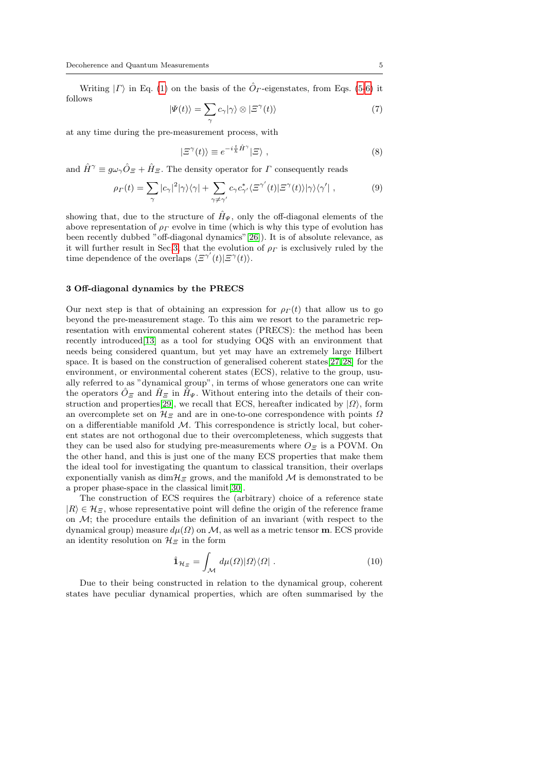Writing  $| \Gamma \rangle$  in Eq. [\(1\)](#page-2-2) on the basis of the  $\hat{O}_\Gamma$ -eigenstates, from Eqs. [\(5-](#page-3-1)[6\)](#page-3-2) it follows

<span id="page-4-3"></span>
$$
|\Psi(t)\rangle = \sum_{\gamma} c_{\gamma} |\gamma\rangle \otimes |\Xi^{\gamma}(t)\rangle \tag{7}
$$

at any time during the pre-measurement process, with

<span id="page-4-1"></span>
$$
|\Xi^{\gamma}(t)\rangle \equiv e^{-i\frac{t}{\hbar}\hat{H}^{\gamma}}|\Xi\rangle , \qquad (8)
$$

and  $\hat{H}^{\gamma} \equiv g \omega_{\gamma} \hat{O}_{\Xi} + \hat{H}_{\Xi}$ . The density operator for  $\Gamma$  consequently reads

<span id="page-4-4"></span>
$$
\rho_{\Gamma}(t) = \sum_{\gamma} |c_{\gamma}|^2 |\gamma\rangle\langle\gamma| + \sum_{\gamma \neq \gamma'} c_{\gamma} c_{\gamma'}^* \langle \Xi^{\gamma'}(t) | \Xi^{\gamma}(t) \rangle |\gamma\rangle\langle\gamma'| \,, \tag{9}
$$

showing that, due to the structure of  $\hat{H}_{\Psi}$ , only the off-diagonal elements of the above representation of  $\rho_r$  evolve in time (which is why this type of evolution has been recently dubbed "off-diagonal dynamics"[\[26\]](#page-10-25)). It is of absolute relevance, as it will further result in Sec[.3,](#page-4-0) that the evolution of  $\rho_{\Gamma}$  is exclusively ruled by the time dependence of the overlaps  $\langle \Xi^{\gamma'}(t)|\Xi^{\gamma}(t)\rangle$ .

# <span id="page-4-0"></span>3 Off-diagonal dynamics by the PRECS

Our next step is that of obtaining an expression for  $\rho_T(t)$  that allow us to go beyond the pre-measurement stage. To this aim we resort to the parametric representation with environmental coherent states (PRECS): the method has been recently introduced<sup>[\[13\]](#page-10-12)</sup> as a tool for studying OQS with an environment that needs being considered quantum, but yet may have an extremely large Hilbert space. It is based on the construction of generalised coherent states[\[27,](#page-11-0)[28\]](#page-11-1) for the environment, or environmental coherent states (ECS), relative to the group, usually referred to as "dynamical group", in terms of whose generators one can write the operators  $\hat{O}_{\Xi}$  and  $\hat{H}_{\Xi}$  in  $\hat{H}_{\Psi}$ . Without entering into the details of their con-struction and properties[\[29\]](#page-11-2), we recall that ECS, hereafter indicated by  $|\Omega\rangle$ , form an overcomplete set on  $\mathcal{H}_{\Xi}$  and are in one-to-one correspondence with points  $\Omega$ on a differentiable manifold  $M$ . This correspondence is strictly local, but coherent states are not orthogonal due to their overcompleteness, which suggests that they can be used also for studying pre-measurements where  $O_\Xi$  is a POVM. On the other hand, and this is just one of the many ECS properties that make them the ideal tool for investigating the quantum to classical transition, their overlaps exponentially vanish as  $\dim \mathcal{H}_{\Xi}$  grows, and the manifold M is demonstrated to be a proper phase-space in the classical limit[\[30\]](#page-11-3).

The construction of ECS requires the (arbitrary) choice of a reference state  $|R\rangle \in \mathcal{H}_{\Xi}$ , whose representative point will define the origin of the reference frame on  $\mathcal{M}$ ; the procedure entails the definition of an invariant (with respect to the dynamical group) measure  $d\mu(\Omega)$  on M, as well as a metric tensor **m**. ECS provide an identity resolution on  $\mathcal{H}_{\Xi}$  in the form

<span id="page-4-2"></span>
$$
\hat{\mathbf{1}}_{\mathcal{H}_{\Xi}} = \int_{\mathcal{M}} d\mu(\Omega) |\Omega\rangle\langle\Omega| \ . \tag{10}
$$

Due to their being constructed in relation to the dynamical group, coherent states have peculiar dynamical properties, which are often summarised by the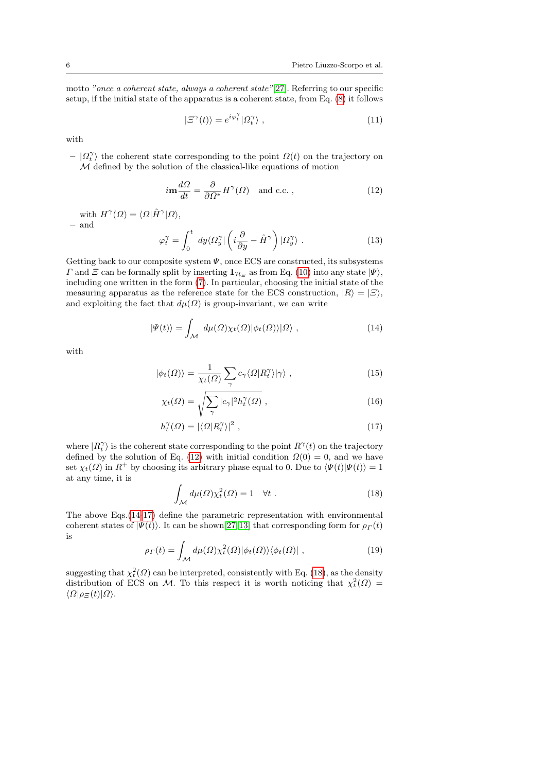motto "once a coherent state, always a coherent state"[\[27\]](#page-11-0). Referring to our specific setup, if the initial state of the apparatus is a coherent state, from Eq. [\(8\)](#page-4-1) it follows

$$
|\Xi^{\gamma}(t)\rangle = e^{i\varphi_t^{\gamma}}|\varOmega_t^{\gamma}\rangle \;, \tag{11}
$$

with

 $|\Omega_t^{\gamma}\rangle$  the coherent state corresponding to the point  $\Omega(t)$  on the trajectory on M defined by the solution of the classical-like equations of motion

<span id="page-5-0"></span>
$$
i\mathbf{m}\frac{d\Omega}{dt} = \frac{\partial}{\partial \Omega^*}H^{\gamma}(\Omega) \text{ and c.c.},
$$
\n(12)

with  $H^{\gamma}(\Omega) = \langle \Omega | \hat{H}^{\gamma} | \Omega \rangle$ , – and

$$
\varphi_t^{\gamma} = \int_0^t dy \langle \Omega_y^{\gamma} | \left( i \frac{\partial}{\partial y} - \hat{H}^{\gamma} \right) | \Omega_y^{\gamma} \rangle . \tag{13}
$$

Getting back to our composite system  $\Psi$ , once ECS are constructed, its subsystems Γ and Ξ can be formally split by inserting  $\mathbf{1}_{\mathcal{H}_\Xi}$  as from Eq. [\(10\)](#page-4-2) into any state  $|\Psi\rangle$ , including one written in the form [\(7\)](#page-4-3). In particular, choosing the initial state of the measuring apparatus as the reference state for the ECS construction,  $|R\rangle = |\Xi\rangle$ , and exploiting the fact that  $d\mu(\Omega)$  is group-invariant, we can write

<span id="page-5-1"></span>
$$
|\Psi(t)\rangle = \int_{\mathcal{M}} d\mu(\Omega)\chi_t(\Omega)|\phi_t(\Omega)\rangle|\Omega\rangle , \qquad (14)
$$

with

<span id="page-5-2"></span>
$$
|\phi_t(\Omega)\rangle = \frac{1}{\chi_t(\Omega)} \sum_{\gamma} c_{\gamma} \langle \Omega | R_t^{\gamma} \rangle | \gamma \rangle , \qquad (15)
$$

$$
\chi_t(\Omega) = \sqrt{\sum_{\gamma} |c_{\gamma}|^2 h_t^{\gamma}(\Omega)} , \qquad (16)
$$

$$
h_t^{\gamma}(\Omega) = |\langle \Omega | R_t^{\gamma} \rangle|^2 \tag{17}
$$

where  $|R_{t}^{\gamma}\rangle$  is the coherent state corresponding to the point  $R^{\gamma}(t)$  on the trajectory defined by the solution of Eq. [\(12\)](#page-5-0) with initial condition  $\Omega(0) = 0$ , and we have set  $\chi_t(\Omega)$  in  $R^+$  by choosing its arbitrary phase equal to 0. Due to  $\langle \Psi(t)|\Psi(t)\rangle = 1$ at any time, it is

<span id="page-5-3"></span>
$$
\int_{\mathcal{M}} d\mu(\Omega) \chi_t^2(\Omega) = 1 \quad \forall t \; . \tag{18}
$$

The above Eqs.[\(14-](#page-5-1)[17\)](#page-5-2) define the parametric representation with environmental coherent states of  $|\Psi(t)\rangle$ . It can be shown[\[27,](#page-11-0)[13\]](#page-10-12) that corresponding form for  $\rho_T(t)$ is

<span id="page-5-4"></span>
$$
\rho_{\Gamma}(t) = \int_{\mathcal{M}} d\mu(\Omega) \chi_t^2(\Omega) |\phi_t(\Omega)\rangle \langle \phi_t(\Omega)| \;, \tag{19}
$$

suggesting that  $\chi^2_t(\Omega)$  can be interpreted, consistently with Eq. [\(18\)](#page-5-3), as the density distribution of ECS on M. To this respect it is worth noticing that  $\chi_t^2(\Omega)$  =  $\langle \Omega | \rho_{\Xi}(t) | \Omega \rangle$ .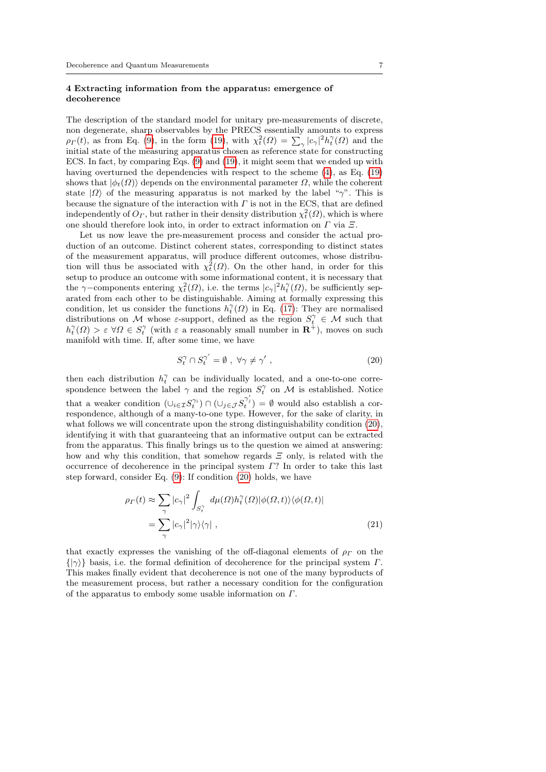## <span id="page-6-0"></span>4 Extracting information from the apparatus: emergence of decoherence

The description of the standard model for unitary pre-measurements of discrete, non degenerate, sharp observables by the PRECS essentially amounts to express  $\rho_{\Gamma}(t)$ , as from Eq. [\(9\)](#page-4-4), in the form [\(19\)](#page-5-4), with  $\chi_t^2(\Omega) = \sum_{\gamma} |c_{\gamma}|^2 h_t^{\gamma}(\Omega)$  and the initial state of the measuring apparatus chosen as reference state for constructing ECS. In fact, by comparing Eqs. [\(9\)](#page-4-4) and [\(19\)](#page-5-4), it might seem that we ended up with having overturned the dependencies with respect to the scheme [\(4\)](#page-3-0), as Eq. [\(19\)](#page-5-4) shows that  $|\phi_t(\Omega)\rangle$  depends on the environmental parameter  $\Omega$ , while the coherent state  $|\Omega\rangle$  of the measuring apparatus is not marked by the label "γ". This is because the signature of the interaction with  $\Gamma$  is not in the ECS, that are defined independently of  $O_r$ , but rather in their density distribution  $\chi^2_t(\Omega)$ , which is where one should therefore look into, in order to extract information on  $\varGamma$  via  $\varXi$ .

Let us now leave the pre-measurement process and consider the actual production of an outcome. Distinct coherent states, corresponding to distinct states of the measurement apparatus, will produce different outcomes, whose distribution will thus be associated with  $\chi_t^2(\Omega)$ . On the other hand, in order for this setup to produce an outcome with some informational content, it is necessary that the  $\gamma$ –components entering  $\chi_t^2(\Omega)$ , i.e. the terms  $|c_\gamma|^2 h_t^{\gamma}(\Omega)$ , be sufficiently separated from each other to be distinguishable. Aiming at formally expressing this condition, let us consider the functions  $h_t^{\gamma}(\Omega)$  in Eq. [\(17\)](#page-5-2): They are normalised distributions on M whose  $\varepsilon$ -support, defined as the region  $S_t^{\gamma} \in \mathcal{M}$  such that  $h_t^{\gamma}(\Omega) > \varepsilon \,\forall \Omega \in S_t^{\gamma}$  (with  $\varepsilon$  a reasonably small number in  $\mathbb{R}^+$ ), moves on such manifold with time. If, after some time, we have

<span id="page-6-1"></span>
$$
S_t^{\gamma} \cap S_t^{\gamma'} = \emptyset \ , \ \forall \gamma \neq \gamma' \ , \tag{20}
$$

then each distribution  $h_t^{\gamma}$  can be individually located, and a one-to-one correspondence between the label  $\gamma$  and the region  $S_t^{\gamma}$  on M is established. Notice that a weaker condition  $(\cup_{i\in\mathcal{I}} S_i^{\gamma_i}) \cap (\cup_{j\in\mathcal{J}} S_i^{\gamma_j'}) = \emptyset$  would also establish a correspondence, although of a many-to-one type. However, for the sake of clarity, in what follows we will concentrate upon the strong distinguishability condition [\(20\)](#page-6-1), identifying it with that guaranteeing that an informative output can be extracted from the apparatus. This finally brings us to the question we aimed at answering: how and why this condition, that somehow regards  $E$  only, is related with the occurrence of decoherence in the principal system  $\Gamma$ ? In order to take this last step forward, consider Eq. [\(9\)](#page-4-4): If condition [\(20\)](#page-6-1) holds, we have

<span id="page-6-2"></span>
$$
\rho_{\Gamma}(t) \approx \sum_{\gamma} |c_{\gamma}|^2 \int_{S_t^{\gamma}} d\mu(\Omega) h_t^{\gamma}(\Omega) |\phi(\Omega, t)\rangle \langle \phi(\Omega, t)|
$$
  
= 
$$
\sum_{\gamma} |c_{\gamma}|^2 |\gamma\rangle \langle \gamma| , \qquad (21)
$$

that exactly expresses the vanishing of the off-diagonal elements of  $\rho<sub>\Gamma</sub>$  on the  $\{|\gamma\rangle\}$  basis, i.e. the formal definition of decoherence for the principal system  $\Gamma$ . This makes finally evident that decoherence is not one of the many byproducts of the measurement process, but rather a necessary condition for the configuration of the apparatus to embody some usable information on Γ.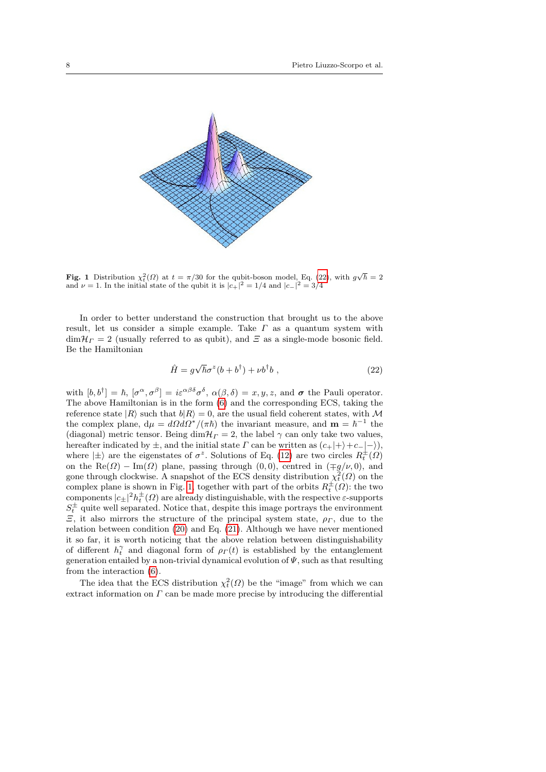

<span id="page-7-1"></span>**Fig. 1** Distribution  $\chi_t^2(\Omega)$  at  $t = \pi/30$  for the qubit-boson model, Eq. [\(22\)](#page-7-0), with  $g\sqrt{\hbar} = 2$ and  $\nu = 1$ . In the initial state of the qubit it is  $|c_+|^2 = 1/4$  and  $|c_-|^2 = 3/4$ 

In order to better understand the construction that brought us to the above result, let us consider a simple example. Take  $\Gamma$  as a quantum system with  $\dim\mathcal{H}_{\Gamma}=2$  (usually referred to as qubit), and  $\Xi$  as a single-mode bosonic field. Be the Hamiltonian

<span id="page-7-0"></span>
$$
\hat{H} = g\sqrt{\hbar}\sigma^z(b+b^\dagger) + \nu b^\dagger b \,,\tag{22}
$$

with  $[b, b^{\dagger}] = \hbar$ ,  $[\sigma^{\alpha}, \sigma^{\beta}] = i \varepsilon^{\alpha \beta \delta} \sigma^{\delta}$ ,  $\alpha(\beta, \delta) = x, y, z$ , and  $\sigma$  the Pauli operator. The above Hamiltonian is in the form [\(6\)](#page-3-2) and the corresponding ECS, taking the reference state  $|R\rangle$  such that  $b|R\rangle = 0$ , are the usual field coherent states, with M the complex plane,  $d\mu = d\Omega d\Omega^*/(\pi\hbar)$  the invariant measure, and  $\mathbf{m} = \hbar^{-1}$  the (diagonal) metric tensor. Being dim $\mathcal{H}_{\Gamma}=2$ , the label  $\gamma$  can only take two values, hereafter indicated by  $\pm$ , and the initial state  $\Gamma$  can be written as  $(c_{+}|+\rangle+c_{-}|-\rangle)$ , where  $|\pm\rangle$  are the eigenstates of  $\sigma^z$ . Solutions of Eq. [\(12\)](#page-5-0) are two circles  $R_t^{\pm}(\Omega)$ on the Re( $\Omega$ ) – Im( $\Omega$ ) plane, passing through (0,0), centred in ( $\mp g/\nu$ ,0), and gone through clockwise. A snapshot of the ECS density distribution  $\chi_t^2(\Omega)$  on the complex plane is shown in Fig. [1,](#page-7-1) together with part of the orbits  $R_t^{\pm}(\Omega)$ : the two components  $|c_{\pm}|^2 h_{t}^{\pm}(\Omega)$  are already distinguishable, with the respective  $\varepsilon$ -supports  $S_t^{\pm}$  quite well separated. Notice that, despite this image portrays the environment  $\overline{E}$ , it also mirrors the structure of the principal system state,  $\rho_{\Gamma}$ , due to the relation between condition [\(20\)](#page-6-1) and Eq. [\(21\)](#page-6-2). Although we have never mentioned it so far, it is worth noticing that the above relation between distinguishability of different  $h_t^{\gamma}$  and diagonal form of  $\rho_T(t)$  is established by the entanglement generation entailed by a non-trivial dynamical evolution of  $\Psi$ , such as that resulting from the interaction [\(6\)](#page-3-2).

The idea that the ECS distribution  $\chi_t^2(\Omega)$  be the "image" from which we can extract information on  $\Gamma$  can be made more precise by introducing the differential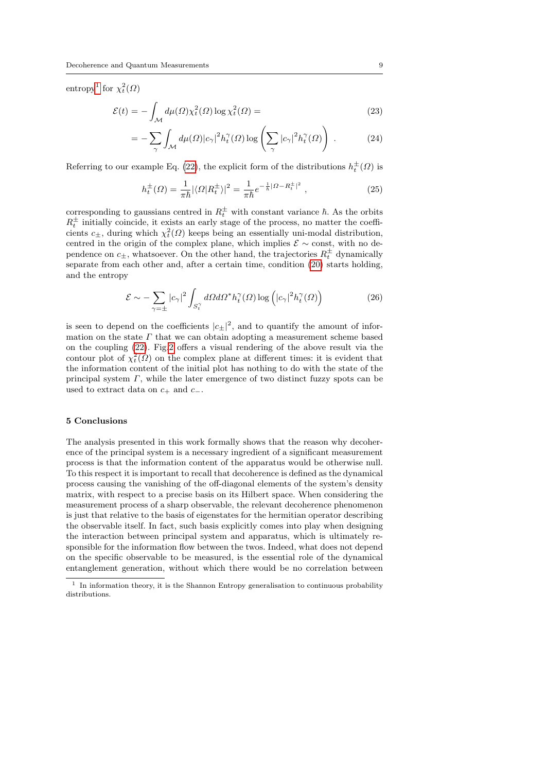entropy<sup>[1](#page-8-1)</sup> for  $\chi_t^2(\Omega)$ 

$$
\mathcal{E}(t) = -\int_{\mathcal{M}} d\mu(\Omega) \chi_t^2(\Omega) \log \chi_t^2(\Omega) = \tag{23}
$$

$$
= -\sum_{\gamma} \int_{\mathcal{M}} d\mu(\Omega) |c_{\gamma}|^2 h_t^{\gamma}(\Omega) \log \left( \sum_{\gamma} |c_{\gamma}|^2 h_t^{\gamma}(\Omega) \right) . \tag{24}
$$

Referring to our example Eq. [\(22\)](#page-7-0), the explicit form of the distributions  $h_t^{\pm}(\Omega)$  is

$$
h_t^{\pm}(\Omega) = \frac{1}{\pi \hbar} |\langle \Omega | R_t^{\pm} \rangle|^2 = \frac{1}{\pi \hbar} e^{-\frac{1}{\hbar} |\Omega - R_t^{\pm}|^2} , \qquad (25)
$$

corresponding to gaussians centred in  $R_t^{\pm}$  with constant variance  $\hbar$ . As the orbits  $R_t^{\pm}$  initially coincide, it exists an early stage of the process, no matter the coefficients  $c_{\pm}$ , during which  $\chi_t^2(\Omega)$  keeps being an essentially uni-modal distribution, centred in the origin of the complex plane, which implies  $\mathcal{E} \sim$  const, with no dependence on  $c_{\pm}$ , whatsoever. On the other hand, the trajectories  $R_t^{\pm}$  dynamically separate from each other and, after a certain time, condition [\(20\)](#page-6-1) starts holding, and the entropy

$$
\mathcal{E} \sim -\sum_{\gamma=\pm} |c_{\gamma}|^2 \int_{S_t^{\gamma}} d\Omega d\Omega^* h_t^{\gamma}(\Omega) \log \left( |c_{\gamma}|^2 h_t^{\gamma}(\Omega) \right) \tag{26}
$$

is seen to depend on the coefficients  $|c_{\pm}|^2$ , and to quantify the amount of information on the state  $\Gamma$  that we can obtain adopting a measurement scheme based on the coupling [\(22\)](#page-7-0). Fig[.2](#page-9-0) offers a visual rendering of the above result via the contour plot of  $\chi_t^2(\Omega)$  on the complex plane at different times: it is evident that the information content of the initial plot has nothing to do with the state of the principal system  $\Gamma$ , while the later emergence of two distinct fuzzy spots can be used to extract data on  $c_+$  and  $c_-$ .

### <span id="page-8-0"></span>5 Conclusions

The analysis presented in this work formally shows that the reason why decoherence of the principal system is a necessary ingredient of a significant measurement process is that the information content of the apparatus would be otherwise null. To this respect it is important to recall that decoherence is defined as the dynamical process causing the vanishing of the off-diagonal elements of the system's density matrix, with respect to a precise basis on its Hilbert space. When considering the measurement process of a sharp observable, the relevant decoherence phenomenon is just that relative to the basis of eigenstates for the hermitian operator describing the observable itself. In fact, such basis explicitly comes into play when designing the interaction between principal system and apparatus, which is ultimately responsible for the information flow between the twos. Indeed, what does not depend on the specific observable to be measured, is the essential role of the dynamical entanglement generation, without which there would be no correlation between

<span id="page-8-1"></span><sup>&</sup>lt;sup>1</sup> In information theory, it is the Shannon Entropy generalisation to continuous probability distributions.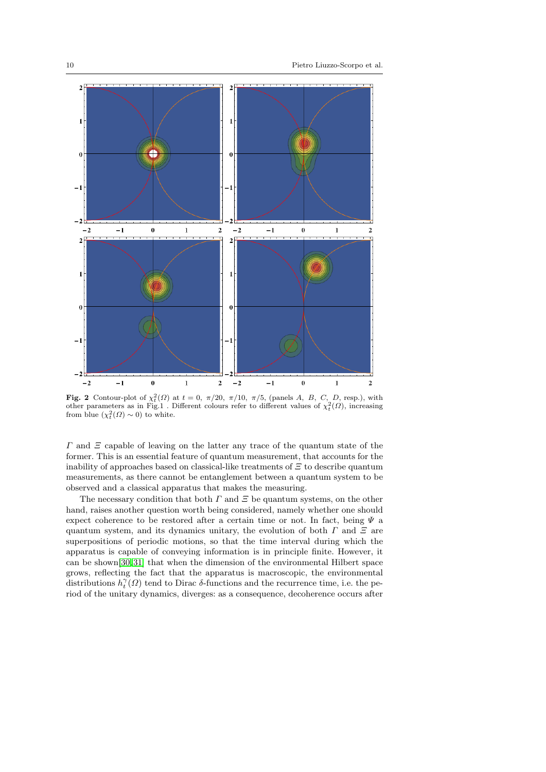

<span id="page-9-0"></span>Fig. 2 Contour-plot of  $\chi_t^2(\Omega)$  at  $t = 0$ ,  $\pi/20$ ,  $\pi/10$ ,  $\pi/5$ , (panels A, B, C, D, resp.), with other parameters as in Fig.1. Different colours refer to different values of  $\chi_t^2(\Omega)$ , increasing from blue  $(\chi_t^2(\Omega) \sim 0)$  to white.

 $\Gamma$  and  $\Xi$  capable of leaving on the latter any trace of the quantum state of the former. This is an essential feature of quantum measurement, that accounts for the inability of approaches based on classical-like treatments of  $\mathcal Z$  to describe quantum measurements, as there cannot be entanglement between a quantum system to be observed and a classical apparatus that makes the measuring.

The necessary condition that both  $\Gamma$  and  $\Xi$  be quantum systems, on the other hand, raises another question worth being considered, namely whether one should expect coherence to be restored after a certain time or not. In fact, being  $\Psi$  a quantum system, and its dynamics unitary, the evolution of both  $\Gamma$  and  $\Xi$  are superpositions of periodic motions, so that the time interval during which the apparatus is capable of conveying information is in principle finite. However, it can be shown[\[30,](#page-11-3) [31\]](#page-11-4) that when the dimension of the environmental Hilbert space grows, reflecting the fact that the apparatus is macroscopic, the environmental distributions  $h_t^{\gamma}(\Omega)$  tend to Dirac δ-functions and the recurrence time, i.e. the period of the unitary dynamics, diverges: as a consequence, decoherence occurs after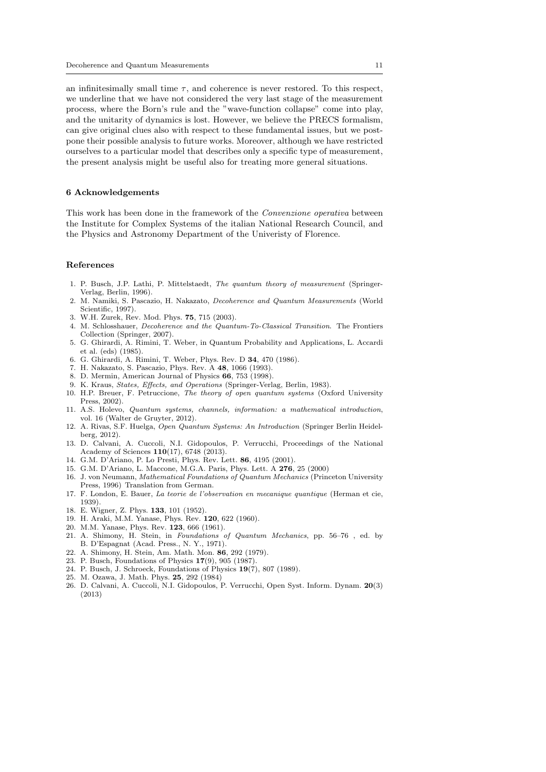an infinitesimally small time  $\tau$ , and coherence is never restored. To this respect, we underline that we have not considered the very last stage of the measurement process, where the Born's rule and the "wave-function collapse" come into play, and the unitarity of dynamics is lost. However, we believe the PRECS formalism, can give original clues also with respect to these fundamental issues, but we postpone their possible analysis to future works. Moreover, although we have restricted ourselves to a particular model that describes only a specific type of measurement, the present analysis might be useful also for treating more general situations.

#### 6 Acknowledgements

This work has been done in the framework of the Convenzione operativa between the Institute for Complex Systems of the italian National Research Council, and the Physics and Astronomy Department of the Univeristy of Florence.

# References

- <span id="page-10-0"></span>1. P. Busch, J.P. Lathi, P. Mittelstaedt, The quantum theory of measurement (Springer-Verlag, Berlin, 1996).
- <span id="page-10-1"></span>2. M. Namiki, S. Pascazio, H. Nakazato, Decoherence and Quantum Measurements (World Scientific, 1997).
- <span id="page-10-2"></span>3. W.H. Zurek, Rev. Mod. Phys. 75, 715 (2003).
- <span id="page-10-3"></span>4. M. Schlosshauer, Decoherence and the Quantum-To-Classical Transition. The Frontiers Collection (Springer, 2007).
- <span id="page-10-4"></span>5. G. Ghirardi, A. Rimini, T. Weber, in Quantum Probability and Applications, L. Accardi et al. (eds) (1985).
- <span id="page-10-5"></span>6. G. Ghirardi, A. Rimini, T. Weber, Phys. Rev. D 34, 470 (1986).
- <span id="page-10-6"></span>7. H. Nakazato, S. Pascazio, Phys. Rev. A 48, 1066 (1993).
- <span id="page-10-7"></span>8. D. Mermin, American Journal of Physics 66, 753 (1998).
- <span id="page-10-8"></span>9. K. Kraus, States, Effects, and Operations (Springer-Verlag, Berlin, 1983).
- <span id="page-10-9"></span>10. H.P. Breuer, F. Petruccione, The theory of open quantum systems (Oxford University Press, 2002).
- <span id="page-10-10"></span>11. A.S. Holevo, Quantum systems, channels, information: a mathematical introduction, vol. 16 (Walter de Gruyter, 2012).
- <span id="page-10-11"></span>12. A. Rivas, S.F. Huelga, Open Quantum Systems: An Introduction (Springer Berlin Heidelberg, 2012).
- <span id="page-10-12"></span>13. D. Calvani, A. Cuccoli, N.I. Gidopoulos, P. Verrucchi, Proceedings of the National Academy of Sciences 110(17), 6748 (2013).
- <span id="page-10-13"></span>14. G.M. D'Ariano, P. Lo Presti, Phys. Rev. Lett. 86, 4195 (2001).
- <span id="page-10-14"></span>15. G.M. D'Ariano, L. Maccone, M.G.A. Paris, Phys. Lett. A 276, 25 (2000)
- <span id="page-10-15"></span>16. J. von Neumann, Mathematical Foundations of Quantum Mechanics (Princeton University Press, 1996) Translation from German.
- <span id="page-10-16"></span>17. F. London, E. Bauer, La teorie de l'observation en mecanique quantique (Herman et cie, 1939).
- <span id="page-10-17"></span>18. E. Wigner, Z. Phys. 133, 101 (1952).
- <span id="page-10-18"></span>19. H. Araki, M.M. Yanase, Phys. Rev. 120, 622 (1960).
- <span id="page-10-19"></span>20. M.M. Yanase, Phys. Rev. 123, 666 (1961).
- <span id="page-10-20"></span>21. A. Shimony, H. Stein, in Foundations of Quantum Mechanics, pp. 56–76 , ed. by B. D'Espagnat (Acad. Press., N. Y., 1971).
- <span id="page-10-21"></span>22. A. Shimony, H. Stein, Am. Math. Mon. 86, 292 (1979).
- <span id="page-10-22"></span>23. P. Busch, Foundations of Physics 17(9), 905 (1987).
- <span id="page-10-23"></span>24. P. Busch, J. Schroeck, Foundations of Physics 19(7), 807 (1989).
- <span id="page-10-24"></span>25. M. Ozawa, J. Math. Phys. 25, 292 (1984)
- <span id="page-10-25"></span>26. D. Calvani, A. Cuccoli, N.I. Gidopoulos, P. Verrucchi, Open Syst. Inform. Dynam. 20(3) (2013)